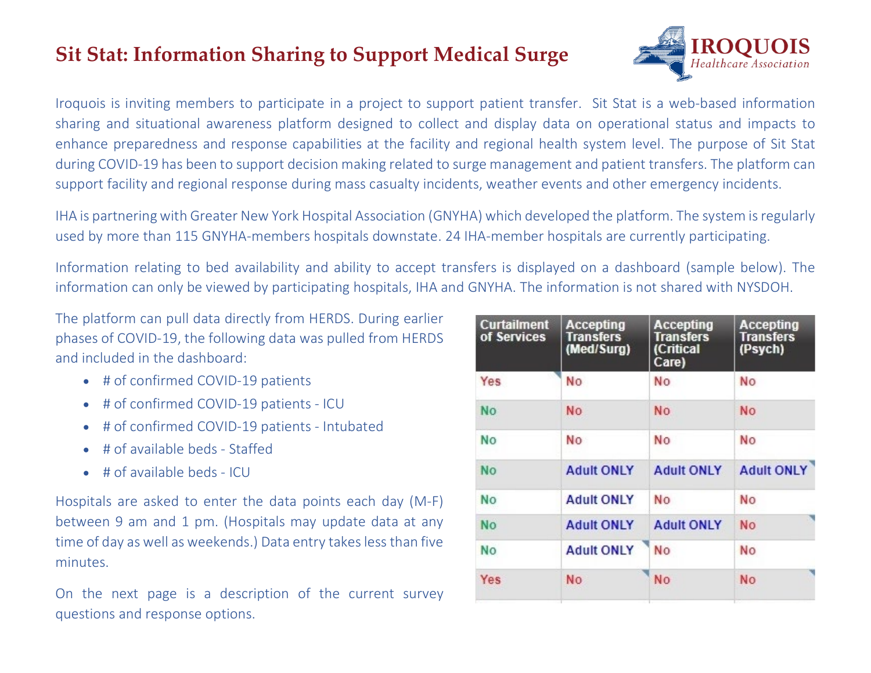## **Sit Stat: Information Sharing to Support Medical Surge**



Iroquois is inviting members to participate in a project to support patient transfer. Sit Stat is a web-based information sharing and situational awareness platform designed to collect and display data on operational status and impacts to enhance preparedness and response capabilities at the facility and regional health system level. The purpose of Sit Stat during COVID-19 has been to support decision making related to surge management and patient transfers. The platform can support facility and regional response during mass casualty incidents, weather events and other emergency incidents.

IHA is partnering with Greater New York Hospital Association (GNYHA) which developed the platform. The system is regularly used by more than 115 GNYHA-members hospitals downstate. 24 IHA-member hospitals are currently participating.

Information relating to bed availability and ability to accept transfers is displayed on a dashboard (sample below). The information can only be viewed by participating hospitals, IHA and GNYHA. The information is not shared with NYSDOH.

The platform can pull data directly from HERDS. During earlier phases of COVID-19, the following data was pulled from HERDS and included in the dashboard:

- # of confirmed COVID-19 patients
- # of confirmed COVID-19 patients ICU
- # of confirmed COVID-19 patients Intubated
- # of available beds Staffed
- # of available beds ICU

Hospitals are asked to enter the data points each day (M-F) between 9 am and 1 pm. (Hospitals may update data at any time of day as well as weekends.) Data entry takesless than five minutes.

On the next page is a description of the current survey questions and response options.

| <b>Curtailment</b><br>of Services | <b>Accepting</b><br><b>Transfers</b><br>(Med/Surg) | Accepting<br>Transfers<br>(Critical<br>Care) | <b>Accepting</b><br><b>Transfers</b><br>(Psych) |
|-----------------------------------|----------------------------------------------------|----------------------------------------------|-------------------------------------------------|
| Yes                               | No                                                 | No                                           | No                                              |
| No                                | <b>No</b>                                          | No                                           | <b>No</b>                                       |
| No                                | No                                                 | No                                           | No                                              |
| No                                | <b>Adult ONLY</b>                                  | <b>Adult ONLY</b>                            | <b>Adult ONLY</b>                               |
| <b>No</b>                         | <b>Adult ONLY</b>                                  | No                                           | No                                              |
| <b>No</b>                         | <b>Adult ONLY</b>                                  | <b>Adult ONLY</b>                            | <b>No</b>                                       |
| No                                | <b>Adult ONLY</b>                                  | No                                           | No                                              |
| Yes                               | No                                                 | No                                           | <b>No</b>                                       |